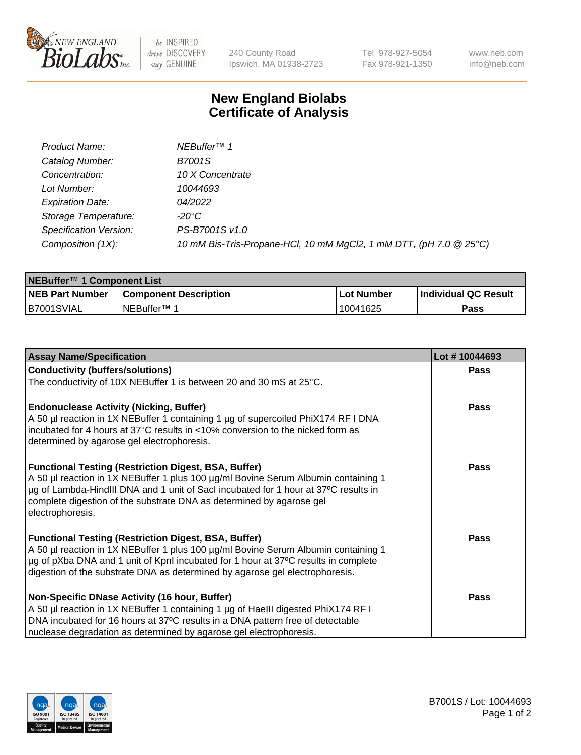

be INSPIRED drive DISCOVERY stay GENUINE

240 County Road Ipswich, MA 01938-2723 Tel 978-927-5054 Fax 978-921-1350 www.neb.com info@neb.com

## **New England Biolabs Certificate of Analysis**

| Product Name:                 | NEBuffer <sup>™</sup> 1                                            |
|-------------------------------|--------------------------------------------------------------------|
| Catalog Number:               | <b>B7001S</b>                                                      |
| Concentration:                | 10 X Concentrate                                                   |
| Lot Number:                   | 10044693                                                           |
| <b>Expiration Date:</b>       | 04/2022                                                            |
| Storage Temperature:          | -20°C                                                              |
| <b>Specification Version:</b> | PS-B7001S v1.0                                                     |
| Composition (1X):             | 10 mM Bis-Tris-Propane-HCl, 10 mM MgCl2, 1 mM DTT, (pH 7.0 @ 25°C) |

| NEBuffer™ 1 Component List |                              |            |                             |  |  |
|----------------------------|------------------------------|------------|-----------------------------|--|--|
| <b>NEB Part Number</b>     | <b>Component Description</b> | Lot Number | <b>Individual QC Result</b> |  |  |
| IB7001SVIAL                | INEBuffer™ 1                 | 10041625   | Pass                        |  |  |

| <b>Assay Name/Specification</b>                                                                                              | Lot #10044693 |
|------------------------------------------------------------------------------------------------------------------------------|---------------|
| <b>Conductivity (buffers/solutions)</b>                                                                                      | <b>Pass</b>   |
| The conductivity of 10X NEBuffer 1 is between 20 and 30 mS at 25°C.                                                          |               |
|                                                                                                                              |               |
| <b>Endonuclease Activity (Nicking, Buffer)</b>                                                                               | Pass          |
| A 50 µl reaction in 1X NEBuffer 1 containing 1 µg of supercoiled PhiX174 RF I DNA                                            |               |
| incubated for 4 hours at 37°C results in <10% conversion to the nicked form as<br>determined by agarose gel electrophoresis. |               |
|                                                                                                                              |               |
| <b>Functional Testing (Restriction Digest, BSA, Buffer)</b>                                                                  | Pass          |
| A 50 µl reaction in 1X NEBuffer 1 plus 100 µg/ml Bovine Serum Albumin containing 1                                           |               |
| µg of Lambda-HindIII DNA and 1 unit of SacI incubated for 1 hour at 37°C results in                                          |               |
| complete digestion of the substrate DNA as determined by agarose gel                                                         |               |
| electrophoresis.                                                                                                             |               |
| <b>Functional Testing (Restriction Digest, BSA, Buffer)</b>                                                                  | Pass          |
| A 50 µl reaction in 1X NEBuffer 1 plus 100 µg/ml Bovine Serum Albumin containing 1                                           |               |
| µg of pXba DNA and 1 unit of KpnI incubated for 1 hour at 37°C results in complete                                           |               |
| digestion of the substrate DNA as determined by agarose gel electrophoresis.                                                 |               |
|                                                                                                                              |               |
| Non-Specific DNase Activity (16 hour, Buffer)                                                                                | Pass          |
| A 50 µl reaction in 1X NEBuffer 1 containing 1 µg of HaellI digested PhiX174 RF I                                            |               |
| DNA incubated for 16 hours at 37°C results in a DNA pattern free of detectable                                               |               |
| nuclease degradation as determined by agarose gel electrophoresis.                                                           |               |